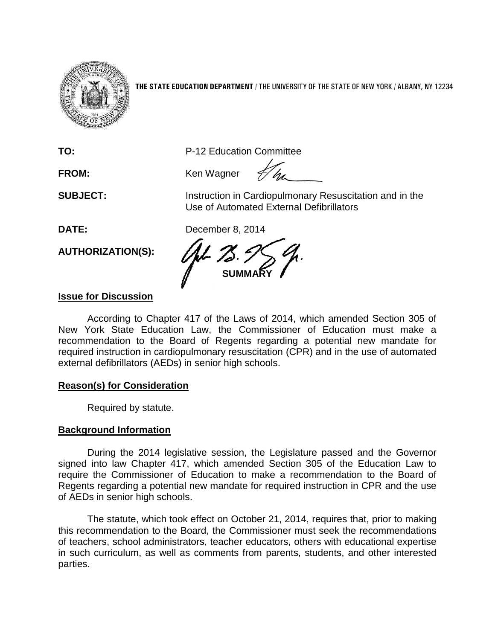

**THE STATE EDUCATION DEPARTMENT** / THE UNIVERSITY OF THE STATE OF NEW YORK / ALBANY, NY 12234

**TO:** P-12 Education Committee

FROM: Ken Wagner

**SUBJECT:** Instruction in Cardiopulmonary Resuscitation and in the Use of Automated External Defibrillators

**DATE:** December 8, 2014

**AUTHORIZATION(S):**

**SUMMARY**

## **Issue for Discussion**

According to Chapter 417 of the Laws of 2014, which amended Section 305 of New York State Education Law, the Commissioner of Education must make a recommendation to the Board of Regents regarding a potential new mandate for required instruction in cardiopulmonary resuscitation (CPR) and in the use of automated external defibrillators (AEDs) in senior high schools.

## **Reason(s) for Consideration**

Required by statute.

## **Background Information**

During the 2014 legislative session, the Legislature passed and the Governor signed into law Chapter 417, which amended Section 305 of the Education Law to require the Commissioner of Education to make a recommendation to the Board of Regents regarding a potential new mandate for required instruction in CPR and the use of AEDs in senior high schools.

The statute, which took effect on October 21, 2014, requires that, prior to making this recommendation to the Board, the Commissioner must seek the recommendations of teachers, school administrators, teacher educators, others with educational expertise in such curriculum, as well as comments from parents, students, and other interested parties.